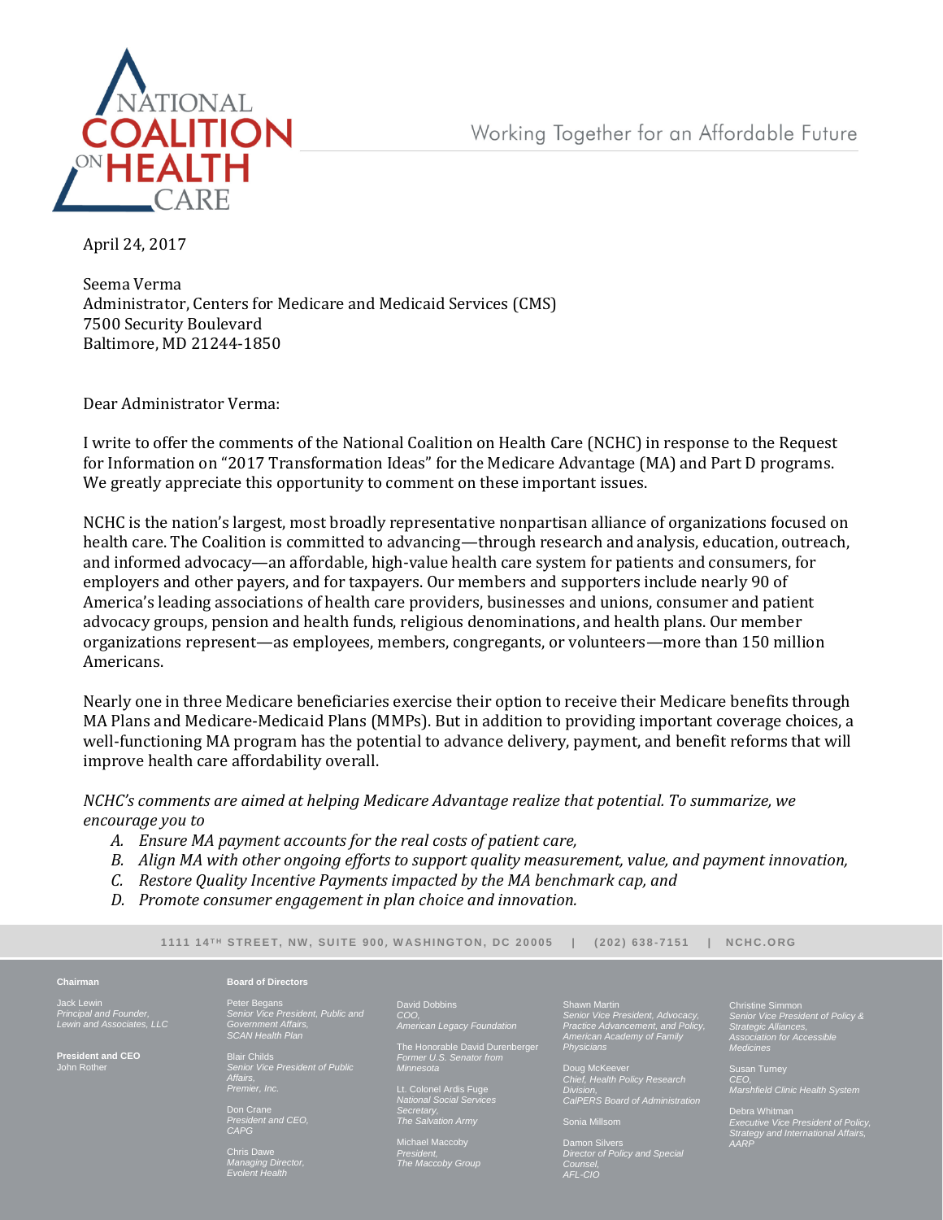

April 24, 2017

Seema Verma Administrator, Centers for Medicare and Medicaid Services (CMS) 7500 Security Boulevard Baltimore, MD 21244-1850

Dear Administrator Verma:

I write to offer the comments of the National Coalition on Health Care (NCHC) in response to the Request for Information on "2017 Transformation Ideas" for the Medicare Advantage (MA) and Part D programs. We greatly appreciate this opportunity to comment on these important issues.

NCHC is the nation's largest, most broadly representative nonpartisan alliance of organizations focused on health care. The Coalition is committed to advancing—through research and analysis, education, outreach, and informed advocacy—an affordable, high-value health care system for patients and consumers, for employers and other payers, and for taxpayers. Our members and supporters include nearly 90 of America's leading associations of health care providers, businesses and unions, consumer and patient advocacy groups, pension and health funds, religious denominations, and health plans. Our member organizations represent—as employees, members, congregants, or volunteers—more than 150 million Americans.

Nearly one in three Medicare beneficiaries exercise their option to receive their Medicare benefits through MA Plans and Medicare-Medicaid Plans (MMPs). But in addition to providing important coverage choices, a well-functioning MA program has the potential to advance delivery, payment, and benefit reforms that will improve health care affordability overall.

## *NCHC's comments are aimed at helping Medicare Advantage realize that potential. To summarize, we encourage you to*

- *A. Ensure MA payment accounts for the real costs of patient care,*
- *B. Align MA with other ongoing efforts to support quality measurement, value, and payment innovation,*
- *C. Restore Quality Incentive Payments impacted by the MA benchmark cap, and*
- *D. Promote consumer engagement in plan choice and innovation.*

**1 11 1 1 4 T H S TR E E T, N W , S U I T E 90 0, W A S H I N G T ON , D C 2 0 0 0 5 | ( 2 02 ) 63 8 - 71 5 1 | N C H C . O R G**

*American Legacy Foundation* The Honorable David Durenberger *Former U.S. Senator from* 

#### **Chairman**

Jack Lewin *Principal and Founder, Lewin and Associates, LLC*

**President and CEO** John Rother

Peter Begans *Senior Vice President, Public and Government Affairs, SCAN Health Plan*

**Board of Directors**

*CAPG*  Chris Dawe *Managing Director, Evolent Health*

Blair Childs *Senior Vice President of Public Affairs, Premier, Inc.*

Don Crane *President and CEO,* 

hael Mac *President, The Maccoby Group*

Lt. Colonel Ardis Fuge *National Social Services* 

David Dobbins *COO,*

*Minnesota*

*Secretary, The Salvation Army*  Shawn Martin *Senior Vice President, Advocacy, Practice Advancement, and Policy, American Academy of Family Physicians*

Doug McKeever *Chief, Health Policy Research Division, CalPERS Board of Administration*

Sonia Millsom

Damon Silvers *Director of Policy and Special Counsel, AFL-CIO*

Christine Simmon *Senior Vice President of Policy & Strategic Alliances, Association for Accessible Medicines*

Susan Turney *CEO, Marshfield Clinic Health System*

Debra Whitman *Executive Vice President of Policy, Strategy and International Affairs, AARP*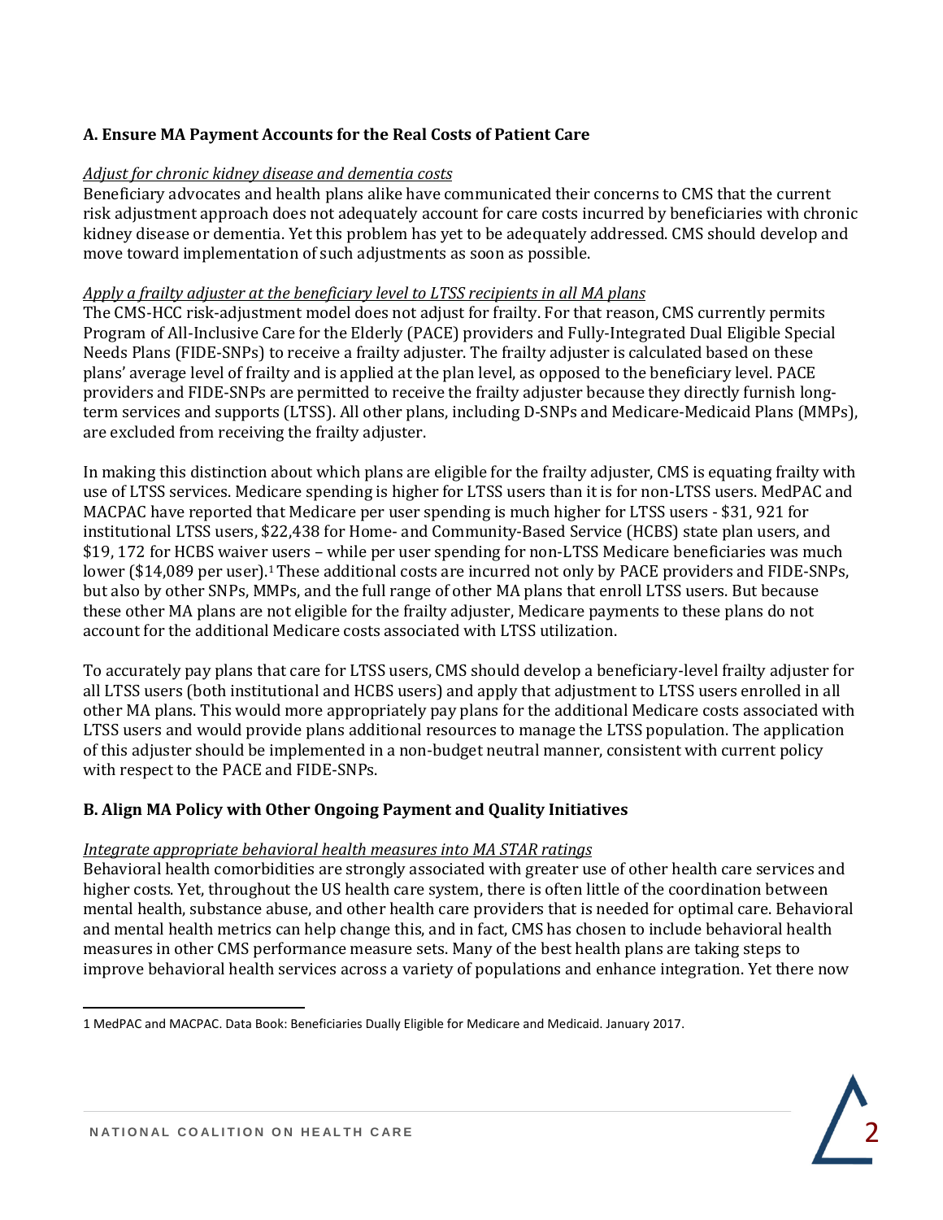# **A. Ensure MA Payment Accounts for the Real Costs of Patient Care**

## *Adjust for chronic kidney disease and dementia costs*

Beneficiary advocates and health plans alike have communicated their concerns to CMS that the current risk adjustment approach does not adequately account for care costs incurred by beneficiaries with chronic kidney disease or dementia. Yet this problem has yet to be adequately addressed. CMS should develop and move toward implementation of such adjustments as soon as possible.

#### *Apply a frailty adjuster at the beneficiary level to LTSS recipients in all MA plans*

The CMS-HCC risk-adjustment model does not adjust for frailty. For that reason, CMS currently permits Program of All-Inclusive Care for the Elderly (PACE) providers and Fully-Integrated Dual Eligible Special Needs Plans (FIDE-SNPs) to receive a frailty adjuster. The frailty adjuster is calculated based on these plans' average level of frailty and is applied at the plan level, as opposed to the beneficiary level. PACE providers and FIDE-SNPs are permitted to receive the frailty adjuster because they directly furnish longterm services and supports (LTSS). All other plans, including D-SNPs and Medicare-Medicaid Plans (MMPs), are excluded from receiving the frailty adjuster.

In making this distinction about which plans are eligible for the frailty adjuster, CMS is equating frailty with use of LTSS services. Medicare spending is higher for LTSS users than it is for non-LTSS users. MedPAC and MACPAC have reported that Medicare per user spending is much higher for LTSS users - \$31, 921 for institutional LTSS users, \$22,438 for Home- and Community-Based Service (HCBS) state plan users, and \$19, 172 for HCBS waiver users – while per user spending for non-LTSS Medicare beneficiaries was much lower (\$14,089 per user).<sup>1</sup> These additional costs are incurred not only by PACE providers and FIDE-SNPs, but also by other SNPs, MMPs, and the full range of other MA plans that enroll LTSS users. But because these other MA plans are not eligible for the frailty adjuster, Medicare payments to these plans do not account for the additional Medicare costs associated with LTSS utilization.

To accurately pay plans that care for LTSS users, CMS should develop a beneficiary-level frailty adjuster for all LTSS users (both institutional and HCBS users) and apply that adjustment to LTSS users enrolled in all other MA plans. This would more appropriately pay plans for the additional Medicare costs associated with LTSS users and would provide plans additional resources to manage the LTSS population. The application of this adjuster should be implemented in a non-budget neutral manner, consistent with current policy with respect to the PACE and FIDE-SNPs.

## **B. Align MA Policy with Other Ongoing Payment and Quality Initiatives**

#### *Integrate appropriate behavioral health measures into MA STAR ratings*

Behavioral health comorbidities are strongly associated with greater use of other health care services and higher costs. Yet, throughout the US health care system, there is often little of the coordination between mental health, substance abuse, and other health care providers that is needed for optimal care. Behavioral and mental health metrics can help change this, and in fact, CMS has chosen to include behavioral health measures in other CMS performance measure sets. Many of the best health plans are taking steps to improve behavioral health services across a variety of populations and enhance integration. Yet there now

 $\overline{a}$ 

<sup>1</sup> MedPAC and MACPAC. Data Book: Beneficiaries Dually Eligible for Medicare and Medicaid. January 2017.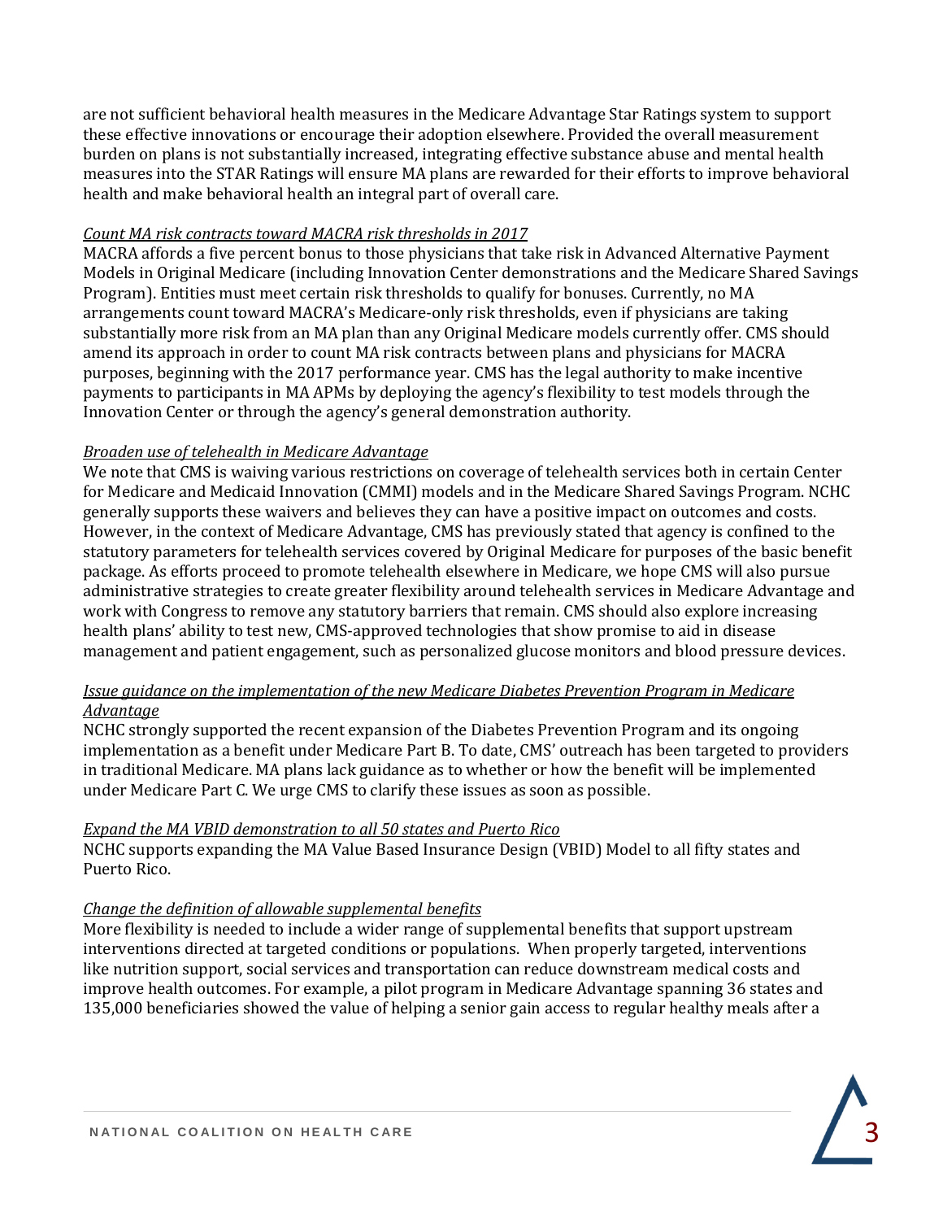are not sufficient behavioral health measures in the Medicare Advantage Star Ratings system to support these effective innovations or encourage their adoption elsewhere. Provided the overall measurement burden on plans is not substantially increased, integrating effective substance abuse and mental health measures into the STAR Ratings will ensure MA plans are rewarded for their efforts to improve behavioral health and make behavioral health an integral part of overall care.

## *Count MA risk contracts toward MACRA risk thresholds in 2017*

MACRA affords a five percent bonus to those physicians that take risk in Advanced Alternative Payment Models in Original Medicare (including Innovation Center demonstrations and the Medicare Shared Savings Program). Entities must meet certain risk thresholds to qualify for bonuses. Currently, no MA arrangements count toward MACRA's Medicare-only risk thresholds, even if physicians are taking substantially more risk from an MA plan than any Original Medicare models currently offer. CMS should amend its approach in order to count MA risk contracts between plans and physicians for MACRA purposes, beginning with the 2017 performance year. CMS has the legal authority to make incentive payments to participants in MA APMs by deploying the agency's flexibility to test models through the Innovation Center or through the agency's general demonstration authority.

## *Broaden use of telehealth in Medicare Advantage*

We note that CMS is waiving various restrictions on coverage of telehealth services both in certain Center for Medicare and Medicaid Innovation (CMMI) models and in the Medicare Shared Savings Program. NCHC generally supports these waivers and believes they can have a positive impact on outcomes and costs. However, in the context of Medicare Advantage, CMS has previously stated that agency is confined to the statutory parameters for telehealth services covered by Original Medicare for purposes of the basic benefit package. As efforts proceed to promote telehealth elsewhere in Medicare, we hope CMS will also pursue administrative strategies to create greater flexibility around telehealth services in Medicare Advantage and work with Congress to remove any statutory barriers that remain. CMS should also explore increasing health plans' ability to test new, CMS-approved technologies that show promise to aid in disease management and patient engagement, such as personalized glucose monitors and blood pressure devices.

## *Issue guidance on the implementation of the new Medicare Diabetes Prevention Program in Medicare Advantage*

NCHC strongly supported the recent expansion of the Diabetes Prevention Program and its ongoing implementation as a benefit under Medicare Part B. To date, CMS' outreach has been targeted to providers in traditional Medicare. MA plans lack guidance as to whether or how the benefit will be implemented under Medicare Part C. We urge CMS to clarify these issues as soon as possible.

# *Expand the MA VBID demonstration to all 50 states and Puerto Rico*

NCHC supports expanding the MA Value Based Insurance Design (VBID) Model to all fifty states and Puerto Rico.

# *Change the definition of allowable supplemental benefits*

More flexibility is needed to include a wider range of supplemental benefits that support upstream interventions directed at targeted conditions or populations. When properly targeted, interventions like nutrition support, social services and transportation can reduce downstream medical costs and improve health outcomes. For example, a pilot program in Medicare Advantage spanning 36 states and 135,000 beneficiaries showed the value of helping a senior gain access to regular healthy meals after a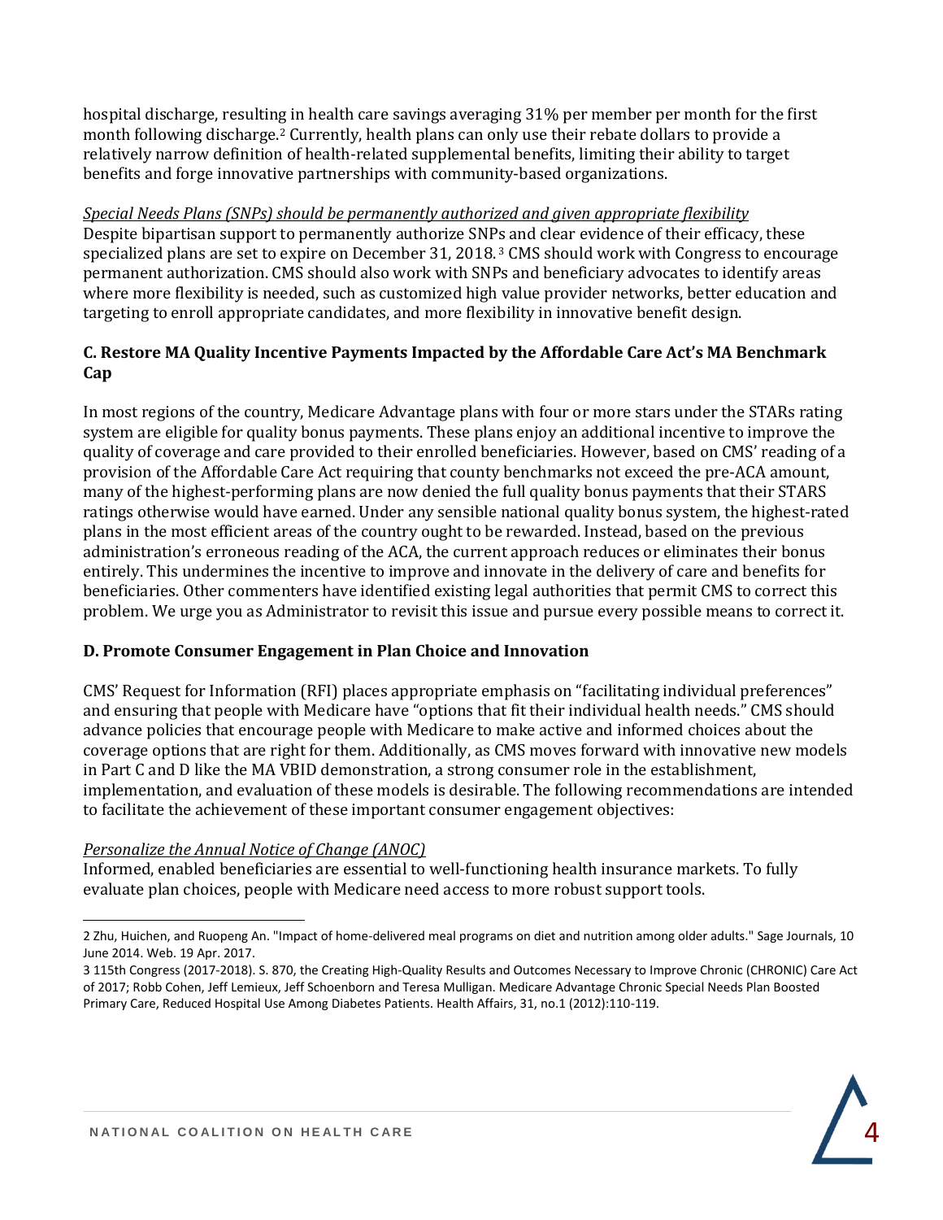hospital discharge, resulting in health care savings averaging 31% per member per month for the first month following discharge.<sup>2</sup> Currently, health plans can only use their rebate dollars to provide a relatively narrow definition of health-related supplemental benefits, limiting their ability to target benefits and forge innovative partnerships with community-based organizations.

*Special Needs Plans (SNPs) should be permanently authorized and given appropriate flexibility* Despite bipartisan support to permanently authorize SNPs and clear evidence of their efficacy, these specialized plans are set to expire on December 31, 2018. <sup>3</sup> CMS should work with Congress to encourage permanent authorization. CMS should also work with SNPs and beneficiary advocates to identify areas where more flexibility is needed, such as customized high value provider networks, better education and targeting to enroll appropriate candidates, and more flexibility in innovative benefit design.

# **C. Restore MA Quality Incentive Payments Impacted by the Affordable Care Act's MA Benchmark Cap**

In most regions of the country, Medicare Advantage plans with four or more stars under the STARs rating system are eligible for quality bonus payments. These plans enjoy an additional incentive to improve the quality of coverage and care provided to their enrolled beneficiaries. However, based on CMS' reading of a provision of the Affordable Care Act requiring that county benchmarks not exceed the pre-ACA amount, many of the highest-performing plans are now denied the full quality bonus payments that their STARS ratings otherwise would have earned. Under any sensible national quality bonus system, the highest-rated plans in the most efficient areas of the country ought to be rewarded. Instead, based on the previous administration's erroneous reading of the ACA, the current approach reduces or eliminates their bonus entirely. This undermines the incentive to improve and innovate in the delivery of care and benefits for beneficiaries. Other commenters have identified existing legal authorities that permit CMS to correct this problem. We urge you as Administrator to revisit this issue and pursue every possible means to correct it.

# **D. Promote Consumer Engagement in Plan Choice and Innovation**

CMS' Request for Information (RFI) places appropriate emphasis on "facilitating individual preferences" and ensuring that people with Medicare have "options that fit their individual health needs." CMS should advance policies that encourage people with Medicare to make active and informed choices about the coverage options that are right for them. Additionally, as CMS moves forward with innovative new models in Part C and D like the MA VBID demonstration, a strong consumer role in the establishment, implementation, and evaluation of these models is desirable. The following recommendations are intended to facilitate the achievement of these important consumer engagement objectives:

# *Personalize the Annual Notice of Change (ANOC)*

Informed, enabled beneficiaries are essential to well-functioning health insurance markets. To fully evaluate plan choices, people with Medicare need access to more robust support tools.

l 2 Zhu, Huichen, and Ruopeng An. "Impact of home-delivered meal programs on diet and nutrition among older adults." Sage Journals, 10 June 2014. Web. 19 Apr. 2017.

<sup>3</sup> 115th Congress (2017-2018). S. 870, the Creating High-Quality Results and Outcomes Necessary to Improve Chronic (CHRONIC) Care Act of 2017; Robb Cohen, Jeff Lemieux, Jeff Schoenborn and Teresa Mulligan. Medicare Advantage Chronic Special Needs Plan Boosted Primary Care, Reduced Hospital Use Among Diabetes Patients. Health Affairs, 31, no.1 (2012):110-119.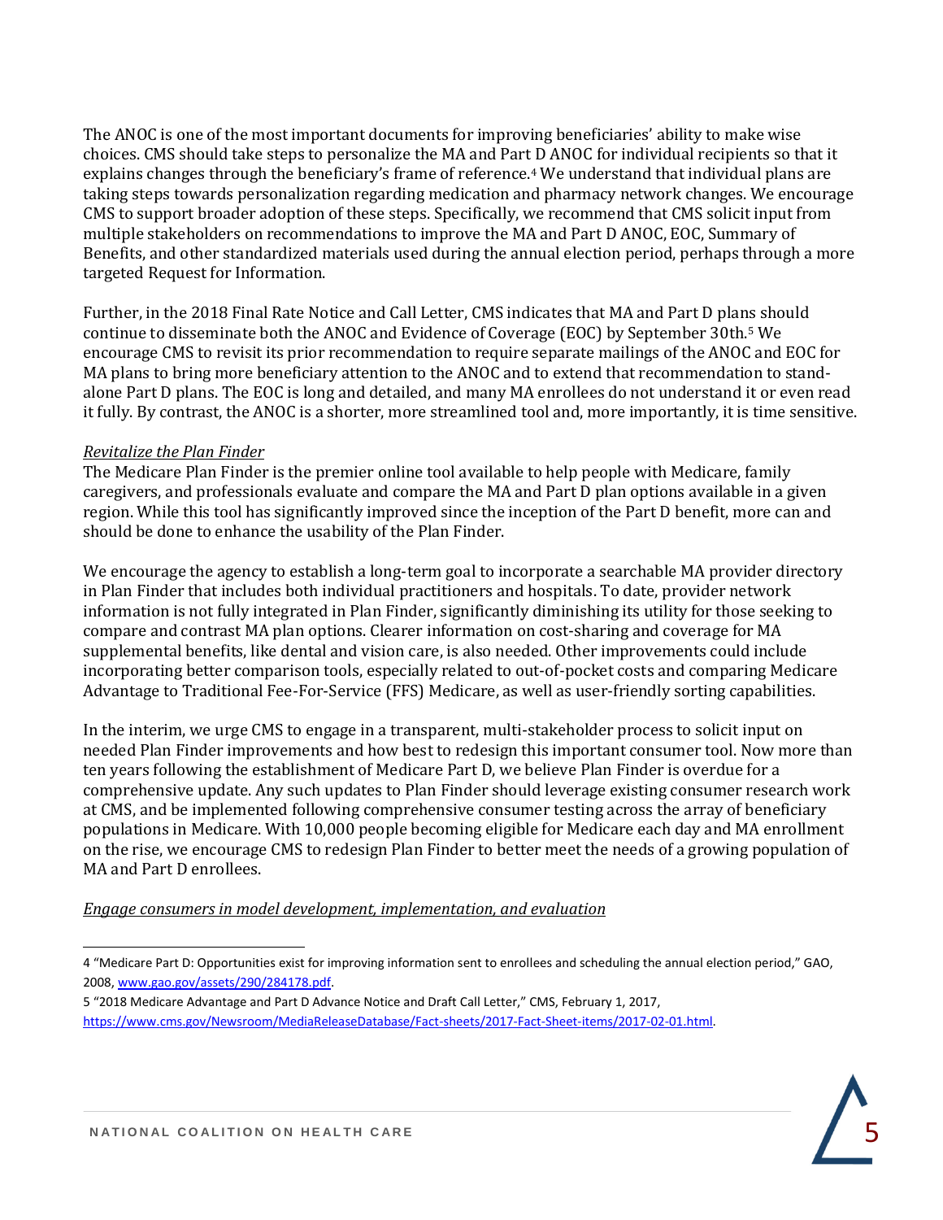The ANOC is one of the most important documents for improving beneficiaries' ability to make wise choices. CMS should take steps to personalize the MA and Part D ANOC for individual recipients so that it explains changes through the beneficiary's frame of reference.<sup>4</sup> We understand that individual plans are taking steps towards personalization regarding medication and pharmacy network changes. We encourage CMS to support broader adoption of these steps. Specifically, we recommend that CMS solicit input from multiple stakeholders on recommendations to improve the MA and Part D ANOC, EOC, Summary of Benefits, and other standardized materials used during the annual election period, perhaps through a more targeted Request for Information.

Further, in the 2018 Final Rate Notice and Call Letter, CMS indicates that MA and Part D plans should continue to disseminate both the ANOC and Evidence of Coverage (EOC) by September 30th.<sup>5</sup> We encourage CMS to revisit its prior recommendation to require separate mailings of the ANOC and EOC for MA plans to bring more beneficiary attention to the ANOC and to extend that recommendation to standalone Part D plans. The EOC is long and detailed, and many MA enrollees do not understand it or even read it fully. By contrast, the ANOC is a shorter, more streamlined tool and, more importantly, it is time sensitive.

## *Revitalize the Plan Finder*

The Medicare Plan Finder is the premier online tool available to help people with Medicare, family caregivers, and professionals evaluate and compare the MA and Part D plan options available in a given region. While this tool has significantly improved since the inception of the Part D benefit, more can and should be done to enhance the usability of the Plan Finder.

We encourage the agency to establish a long-term goal to incorporate a searchable MA provider directory in Plan Finder that includes both individual practitioners and hospitals. To date, provider network information is not fully integrated in Plan Finder, significantly diminishing its utility for those seeking to compare and contrast MA plan options. Clearer information on cost-sharing and coverage for MA supplemental benefits, like dental and vision care, is also needed. Other improvements could include incorporating better comparison tools, especially related to out-of-pocket costs and comparing Medicare Advantage to Traditional Fee-For-Service (FFS) Medicare, as well as user-friendly sorting capabilities.

In the interim, we urge CMS to engage in a transparent, multi-stakeholder process to solicit input on needed Plan Finder improvements and how best to redesign this important consumer tool. Now more than ten years following the establishment of Medicare Part D, we believe Plan Finder is overdue for a comprehensive update. Any such updates to Plan Finder should leverage existing consumer research work at CMS, and be implemented following comprehensive consumer testing across the array of beneficiary populations in Medicare. With 10,000 people becoming eligible for Medicare each day and MA enrollment on the rise, we encourage CMS to redesign Plan Finder to better meet the needs of a growing population of MA and Part D enrollees.

#### *Engage consumers in model development, implementation, and evaluation*

5 "2018 Medicare Advantage and Part D Advance Notice and Draft Call Letter," CMS, February 1, 2017, [https://www.cms.gov/Newsroom/MediaReleaseDatabase/Fact-sheets/2017-Fact-Sheet-items/2017-02-01.html.](https://www.cms.gov/Newsroom/MediaReleaseDatabase/Fact-sheets/2017-Fact-Sheet-items/2017-02-01.html)



l 4 "Medicare Part D: Opportunities exist for improving information sent to enrollees and scheduling the annual election period," GAO, 2008[, www.gao.gov/assets/290/284178.pdf.](http://www.gao.gov/assets/290/284178.pdf)